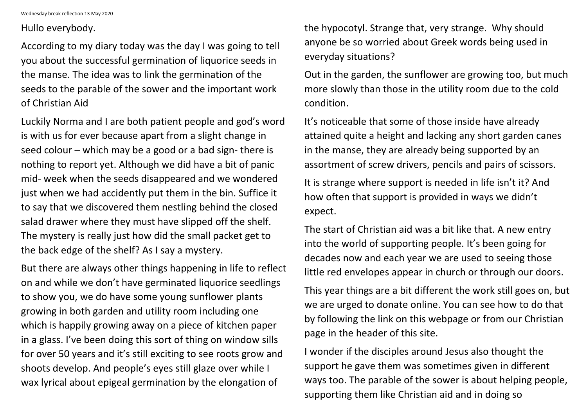Wednesday break reflection 13 May 2020

Hullo everybody.

According to my diary today was the day I was going to tell you about the successful germination of liquorice seeds in the manse. The idea was to link the germination of the seeds to the parable of the sower and the important work of Christian Aid

Luckily Norma and I are both patient people and god's word is with us for ever because apart from a slight change in seed colour – which may be a good or a bad sign- there is nothing to report yet. Although we did have a bit of panic mid- week when the seeds disappeared and we wondered just when we had accidently put them in the bin. Suffice it to say that we discovered them nestling behind the closed salad drawer where they must have slipped off the shelf. The mystery is really just how did the small packet get to the back edge of the shelf? As I say a mystery.

But there are always other things happening in life to reflect on and while we don't have germinated liquorice seedlings to show you, we do have some young sunflower plants growing in both garden and utility room including one which is happily growing away on a piece of kitchen paper in a glass. I've been doing this sort of thing on window sills for over 50 years and it's still exciting to see roots grow and shoots develop. And people's eyes still glaze over while I wax lyrical about epigeal germination by the elongation of

the hypocotyl. Strange that, very strange. Why should anyone be so worried about Greek words being used in everyday situations?

Out in the garden, the sunflower are growing too, but much more slowly than those in the utility room due to the cold condition.

It's noticeable that some of those inside have already attained quite a height and lacking any short garden canes in the manse, they are already being supported by an assortment of screw drivers, pencils and pairs of scissors. It is strange where support is needed in life isn't it? And how often that support is provided in ways we didn't expect.

The start of Christian aid was a bit like that. A new entry into the world of supporting people. It's been going for decades now and each year we are used to seeing those little red envelopes appear in church or through our doors.

This year things are a bit different the work still goes on, but we are urged to donate online. You can see how to do that by following the link on this webpage or from our Christian page in the header of this site.

I wonder if the disciples around Jesus also thought the support he gave them was sometimes given in different ways too. The parable of the sower is about helping people, supporting them like Christian aid and in doing so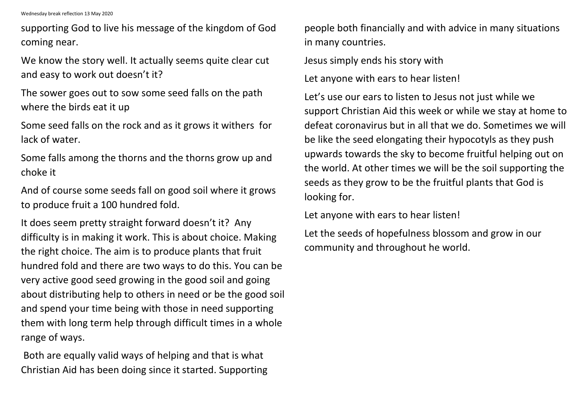Wednesday break reflection 13 May 2020

supporting God to live his message of the kingdom of God coming near.

We know the story well. It actually seems quite clear cut and easy to work out doesn't it?

The sower goes out to sow some seed falls on the path where the birds eat it up

Some seed falls on the rock and as it grows it withers for lack of water.

Some falls among the thorns and the thorns grow up and choke it

And of course some seeds fall on good soil where it grows to produce fruit a 100 hundred fold.

It does seem pretty straight forward doesn't it? Any difficulty is in making it work. This is about choice. Making the right choice. The aim is to produce plants that fruit hundred fold and there are two ways to do this. You can be very active good seed growing in the good soil and going about distributing help to others in need or be the good soil and spend your time being with those in need supporting them with long term help through difficult times in a whole range of ways.

Both are equally valid ways of helping and that is what Christian Aid has been doing since it started. Supporting people both financially and with advice in many situations in many countries.

Jesus simply ends his story with

Let anyone with ears to hear listen!

Let's use our ears to listen to Jesus not just while we support Christian Aid this week or while we stay at home to defeat coronavirus but in all that we do. Sometimes we will be like the seed elongating their hypocotyls as they push upwards towards the sky to become fruitful helping out on the world. At other times we will be the soil supporting the seeds as they grow to be the fruitful plants that God is looking for.

Let anyone with ears to hear listen!

Let the seeds of hopefulness blossom and grow in our community and throughout he world.